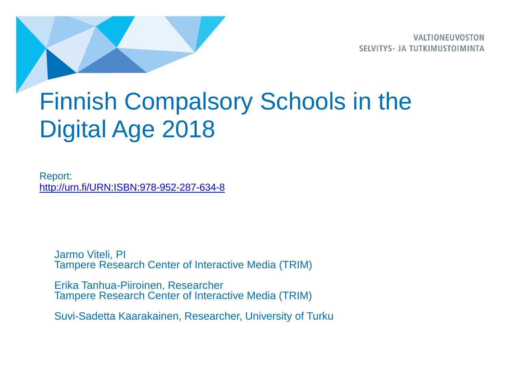**VALTIONEUVOSTON SELVITYS- JA TUTKIMUSTOIMINTA** 

# Finnish Compalsory Schools in the Digital Age 2018

Report: <http://urn.fi/URN:ISBN:978-952-287-634-8>

Jarmo Viteli, PI Tampere Research Center of Interactive Media (TRIM)

Erika Tanhua-Piiroinen, Researcher Tampere Research Center of Interactive Media (TRIM)

Suvi-Sadetta Kaarakainen, Researcher, University of Turku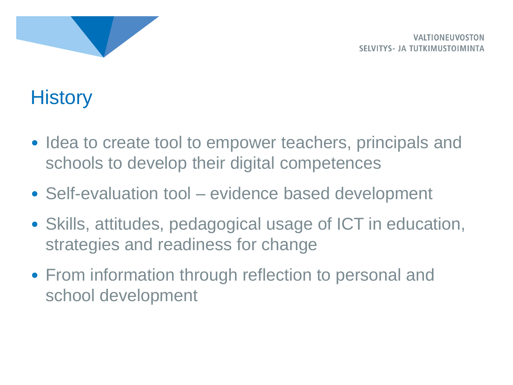

# **History**

- Idea to create tool to empower teachers, principals and schools to develop their digital competences
- Self-evaluation tool evidence based development
- Skills, attitudes, pedagogical usage of ICT in education, strategies and readiness for change
- From information through reflection to personal and school development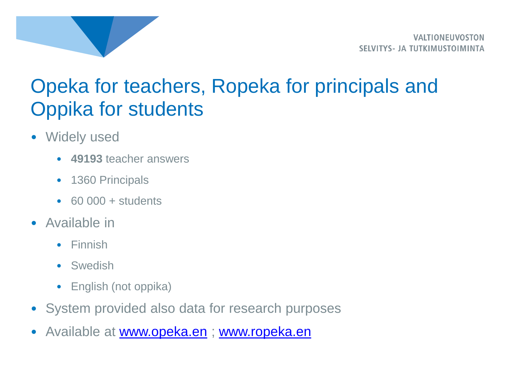

# Opeka for teachers, Ropeka for principals and Oppika for students

- Widely used
	- **49193** teacher answers
	- 1360 Principals
	- $\cdot$  60 000 + students
- Available in
	- Finnish
	- Swedish
	- English (not oppika)
- System provided also data for research purposes
- Available at [www.opeka.en](http://www.opeka.en/) ; [www.ropeka.en](http://www.ropeka.en/)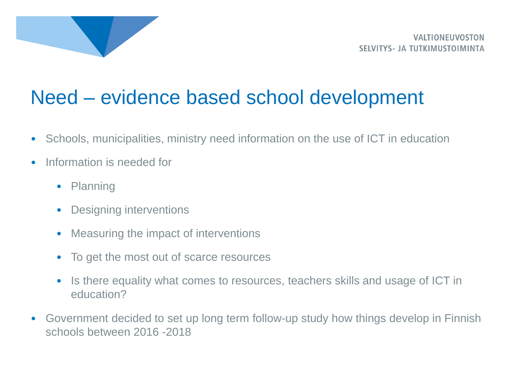

# Need – evidence based school development

- Schools, municipalities, ministry need information on the use of ICT in education
- Information is needed for
	- Planning
	- Designing interventions
	- Measuring the impact of interventions
	- To get the most out of scarce resources
	- Is there equality what comes to resources, teachers skills and usage of ICT in education?
- Government decided to set up long term follow-up study how things develop in Finnish schools between 2016 -2018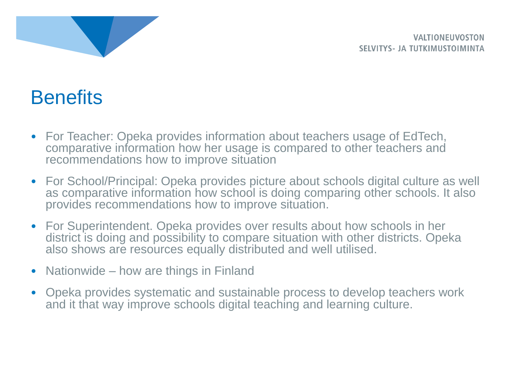

**VALTIONELIVOSTON SELVITYS- JA TUTKIMUSTOIMINTA** 

# **Benefits**

- For Teacher: Opeka provides information about teachers usage of EdTech, comparative information how her usage is compared to other teachers and recommendations how to improve situation
- For School/Principal: Opeka provides picture about schools digital culture as well as comparative information how school is doing comparing other schools. It also provides recommendations how to improve situation.
- For Superintendent. Opeka provides over results about how schools in her district is doing and possibility to compare situation with other districts. Opeka also shows are resources equally distributed and well utilised.
- Nationwide how are things in Finland
- Opeka provides systematic and sustainable process to develop teachers work and it that way improve schools digital teaching and learning culture.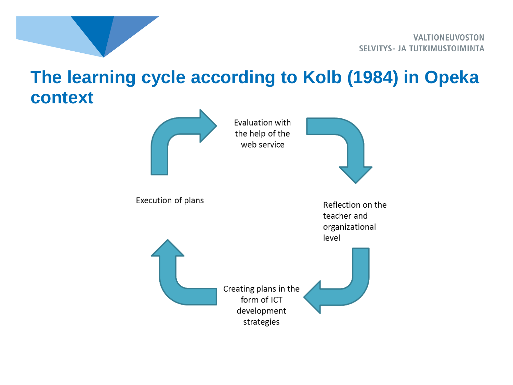

#### **The learning cycle according to Kolb (1984) in Opeka context**

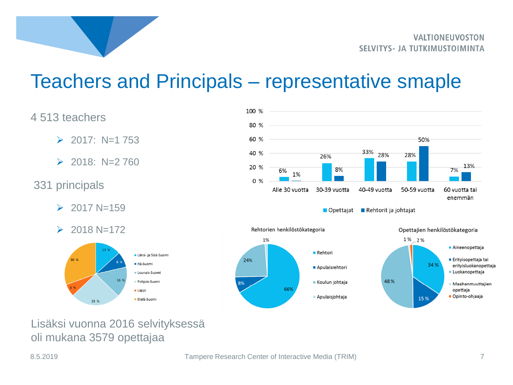

### Teachers and Principals – representative smaple

#### 4 513 teachers

- $\geq$  2017: N=1 753
- $\geq$  2018: N=2 760

#### 331 principals

- $\geq 2017 \text{ N} = 159$
- $\geq 2018 \text{ N} = 172$





■ Opettajat ■ Rehtorit ja johtajat



Lisäksi vuonna 2016 selvityksessä oli mukana 3579 opettajaa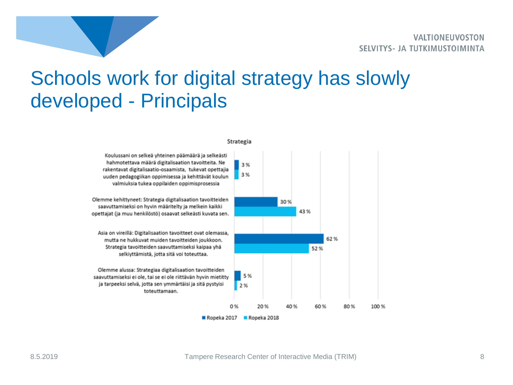# Schools work for digital strategy has slowly developed - Principals



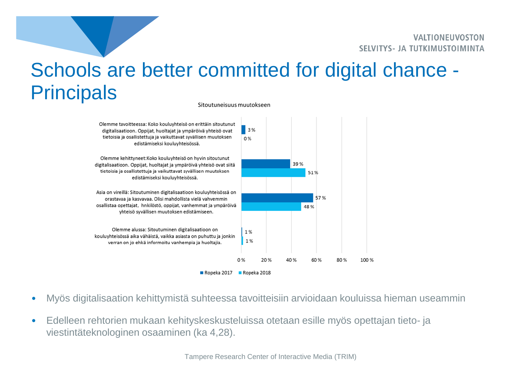# Schools are better committed for digital chance - **Principals**

Sitoutuneisuus muutokseen



- Myös digitalisaation kehittymistä suhteessa tavoitteisiin arvioidaan kouluissa hieman useammin
- Edelleen rehtorien mukaan kehityskeskusteluissa otetaan esille myös opettajan tieto- ja viestintäteknologinen osaaminen (ka 4,28).

Tampere Research Center of Interactive Media (TRIM)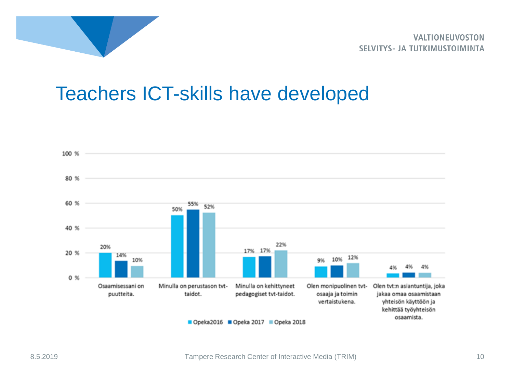

**VALTIONEUVOSTON** SELVITYS- JA TUTKIMUSTOIMINTA

### Teachers ICT-skills have developed

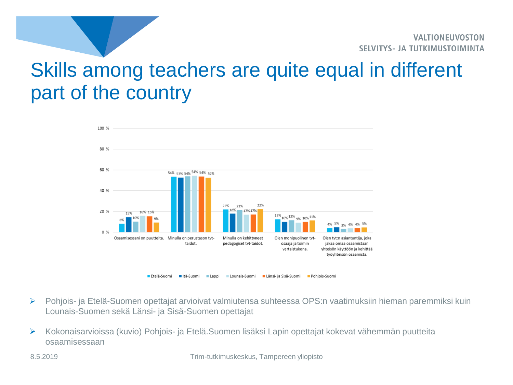# Skills among teachers are quite equal in different part of the country



- ➢ Pohjois- ja Etelä-Suomen opettajat arvioivat valmiutensa suhteessa OPS:n vaatimuksiin hieman paremmiksi kuin Lounais-Suomen sekä Länsi- ja Sisä-Suomen opettajat
- ➢ Kokonaisarvioissa (kuvio) Pohjois- ja Etelä.Suomen lisäksi Lapin opettajat kokevat vähemmän puutteita osaamisessaan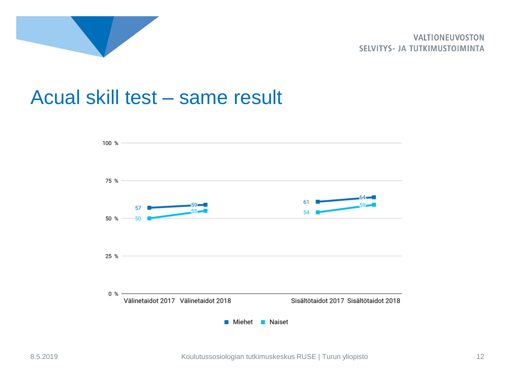

#### Acual skill test – same result

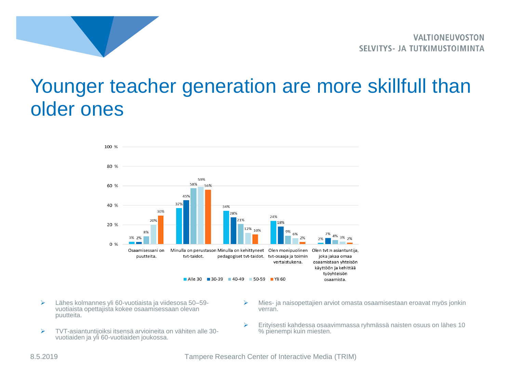

### Younger teacher generation are more skillfull than older ones



- ➢ Lähes kolmannes yli 60-vuotiaista ja viidesosa 50–59 vuotiaista opettajista kokee osaamisessaan olevan puutteita.
- ➢ TVT-asiantuntijoiksi itsensä arvioineita on vähiten alle 30 vuotiaiden ja yli 60-vuotiaiden joukossa.
- ➢ Mies- ja naisopettajien arviot omasta osaamisestaan eroavat myös jonkin verran.
- ➢ Erityisesti kahdessa osaavimmassa ryhmässä naisten osuus on lähes 10 % pienempi kuin miesten.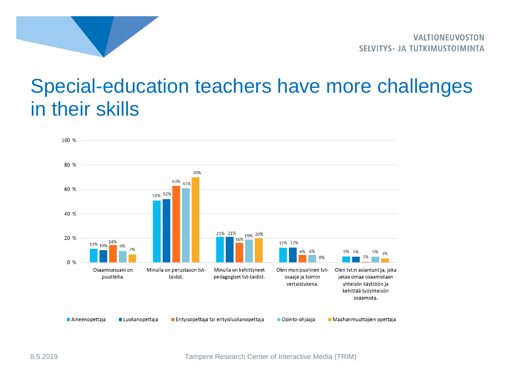

### Special-education teachers have more challenges in their skills

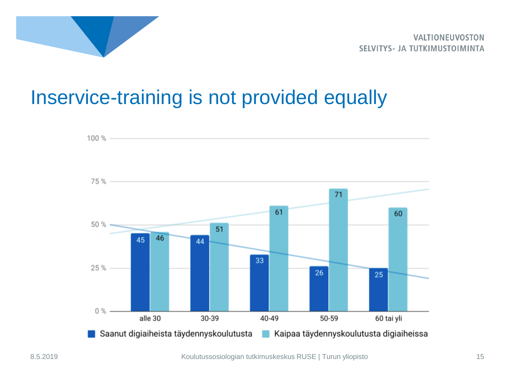

## Inservice-training is not provided equally

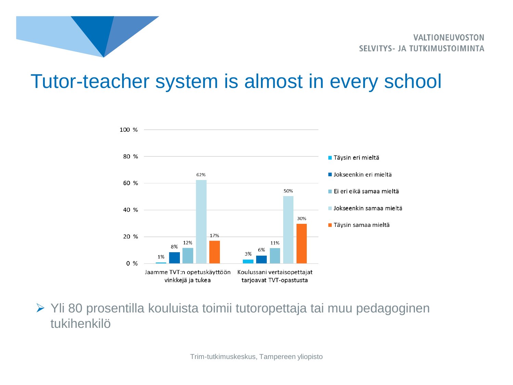

#### Tutor-teacher system is almost in every school



➢ Yli 80 prosentilla kouluista toimii tutoropettaja tai muu pedagoginen tukihenkilö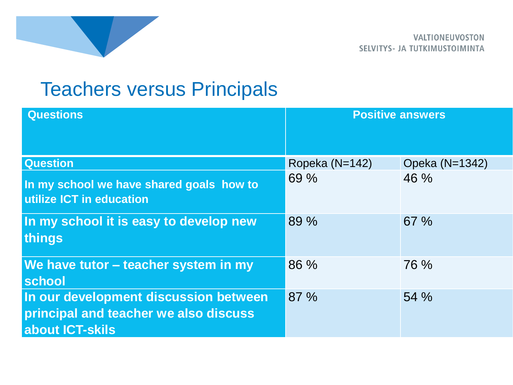

# Teachers versus Principals

| <b>Questions</b>                                                                                         | <b>Positive answers</b> |                |
|----------------------------------------------------------------------------------------------------------|-------------------------|----------------|
| <b>Question</b>                                                                                          | Ropeka (N=142)          | Opeka (N=1342) |
| In my school we have shared goals how to<br>utilize ICT in education                                     | 69 %                    | 46 %           |
| In my school it is easy to develop new<br><b>things</b>                                                  | 89 %                    | 67 %           |
| We have tutor - teacher system in my<br>school                                                           | 86 %                    | 76 %           |
| In our development discussion between<br>principal and teacher we also discuss<br><b>about ICT-skils</b> | 87%                     | 54 %           |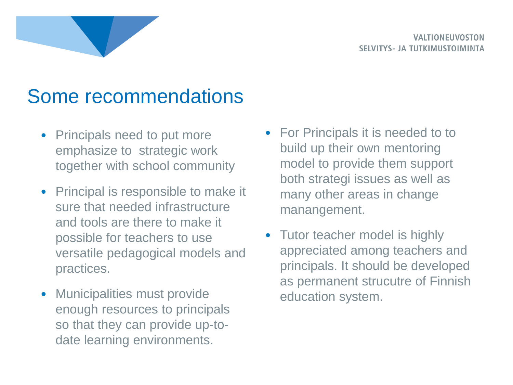## Some recommendations

- Principals need to put more emphasize to strategic work together with school community
- Principal is responsible to make it sure that needed infrastructure and tools are there to make it possible for teachers to use versatile pedagogical models and practices.
- Municipalities must provide enough resources to principals so that they can provide up-todate learning environments.
- For Principals it is needed to to build up their own mentoring model to provide them support both strategi issues as well as many other areas in change manangement.
- Tutor teacher model is highly appreciated among teachers and principals. It should be developed as permanent strucutre of Finnish education system.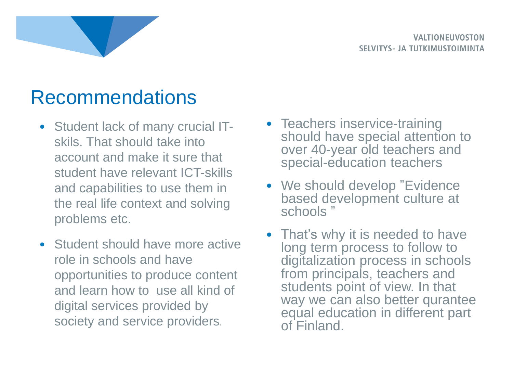

## Recommendations

- Student lack of many crucial ITskils. That should take into account and make it sure that student have relevant ICT-skills and capabilities to use them in the real life context and solving problems etc.
- Student should have more active role in schools and have opportunities to produce content and learn how to use all kind of digital services provided by society and service providers.
- Teachers inservice-training should have special attention to over 40-year old teachers and special-education teachers
- We should develop "Evidence" based development culture at schools "
- That's why it is needed to have long term process to follow to digitalization process in schools from principals, teachers and students point of view. In that way we can also better qurantee equal education in different part of Finland.